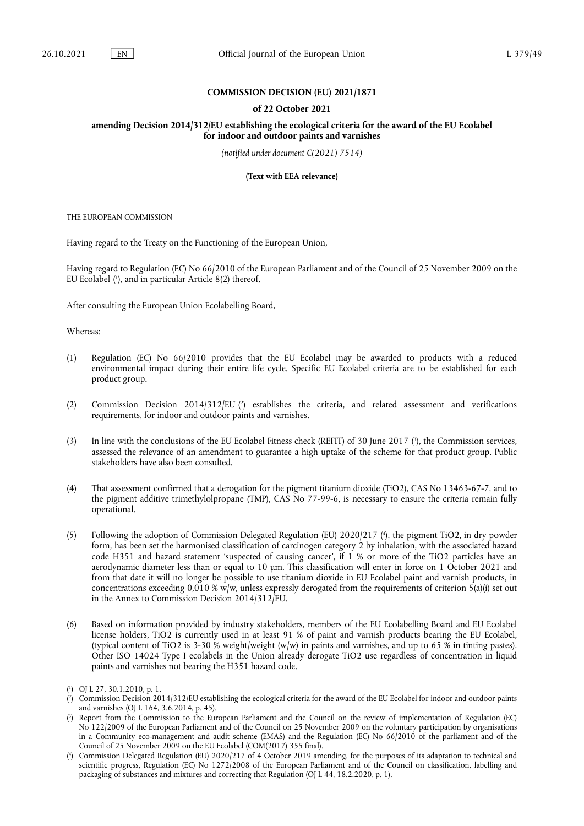# **COMMISSION DECISION (EU) 2021/1871**

#### **of 22 October 2021**

**amending Decision 2014/312/EU establishing the ecological criteria for the award of the EU Ecolabel for indoor and outdoor paints and varnishes** 

*(notified under document C(2021) 7514)* 

**(Text with EEA relevance)** 

THE EUROPEAN COMMISSION

Having regard to the Treaty on the Functioning of the European Union,

<span id="page-0-4"></span>Having regard to Regulation (EC) No 66/2010 of the European Parliament and of the Council of 25 November 2009 on the EU Ecolabel ( 1 [\),](#page-0-0) and in particular Article 8(2) thereof,

After consulting the European Union Ecolabelling Board,

Whereas:

- (1) Regulation (EC) No 66/2010 provides that the EU Ecolabel may be awarded to products with a reduced environmental impact during their entire life cycle. Specific EU Ecolabel criteria are to be established for each product group.
- <span id="page-0-5"></span>(2) Commission Decision 2014/312/EU [\(](#page-0-1) 2 ) establishes the criteria, and related assessment and verifications requirements, for indoor and outdoor paints and varnishes.
- <span id="page-0-6"></span>[\(](#page-0-2)3) In line with the conclusions of the EU Ecolabel Fitness check (REFIT) of 30 June 2017 ( $\degree$ ), the Commission services, assessed the relevance of an amendment to guarantee a high uptake of the scheme for that product group. Public stakeholders have also been consulted.
- (4) That assessment confirmed that a derogation for the pigment titanium dioxide (TiO2), CAS No 13463-67-7, and to the pigment additive trimethylolpropane (TMP), CAS No 77-99-6, is necessary to ensure the criteria remain fully operational.
- <span id="page-0-7"></span>(5) Following the adoption of Commission Delegated Regulation (EU) 2020/217 [\(](#page-0-3) 4 ), the pigment TiO2, in dry powder form, has been set the harmonised classification of carcinogen category 2 by inhalation, with the associated hazard code H351 and hazard statement 'suspected of causing cancer', if 1 % or more of the TiO2 particles have an aerodynamic diameter less than or equal to 10 μm. This classification will enter in force on 1 October 2021 and from that date it will no longer be possible to use titanium dioxide in EU Ecolabel paint and varnish products, in concentrations exceeding  $0,010\%$  w/w, unless expressly derogated from the requirements of criterion  $5(a)(i)$  set out in the Annex to Commission Decision 2014/312/EU.
- (6) Based on information provided by industry stakeholders, members of the EU Ecolabelling Board and EU Ecolabel license holders, TiO2 is currently used in at least 91 % of paint and varnish products bearing the EU Ecolabel, (typical content of TiO2 is 3-30 % weight/weight (w/w) in paints and varnishes, and up to 65 % in tinting pastes). Other ISO 14024 Type I ecolabels in the Union already derogate TiO2 use regardless of concentration in liquid paints and varnishes not bearing the H351 hazard code.

<span id="page-0-0"></span>[<sup>\(</sup>](#page-0-4) 1 ) OJ L 27, 30.1.2010, p. 1.

<span id="page-0-1"></span>[<sup>\(</sup>](#page-0-5) 2 ) Commission Decision 2014/312/EU establishing the ecological criteria for the award of the EU Ecolabel for indoor and outdoor paints and varnishes (OJ L 164, 3.6.2014, p. 45).

<span id="page-0-2"></span>[<sup>\(</sup>](#page-0-6) 3 ) Report from the Commission to the European Parliament and the Council on the review of implementation of Regulation (EC) No 122/2009 of the European Parliament and of the Council on 25 November 2009 on the voluntary participation by organisations in a Community eco-management and audit scheme (EMAS) and the Regulation (EC) No 66/2010 of the parliament and of the Council of 25 November 2009 on the EU Ecolabel (COM(2017) 355 final).

<span id="page-0-3"></span>[<sup>\(</sup>](#page-0-7) 4 ) Commission Delegated Regulation (EU) 2020/217 of 4 October 2019 amending, for the purposes of its adaptation to technical and scientific progress, Regulation (EC) No 1272/2008 of the European Parliament and of the Council on classification, labelling and packaging of substances and mixtures and correcting that Regulation (OJ L 44, 18.2.2020, p. 1).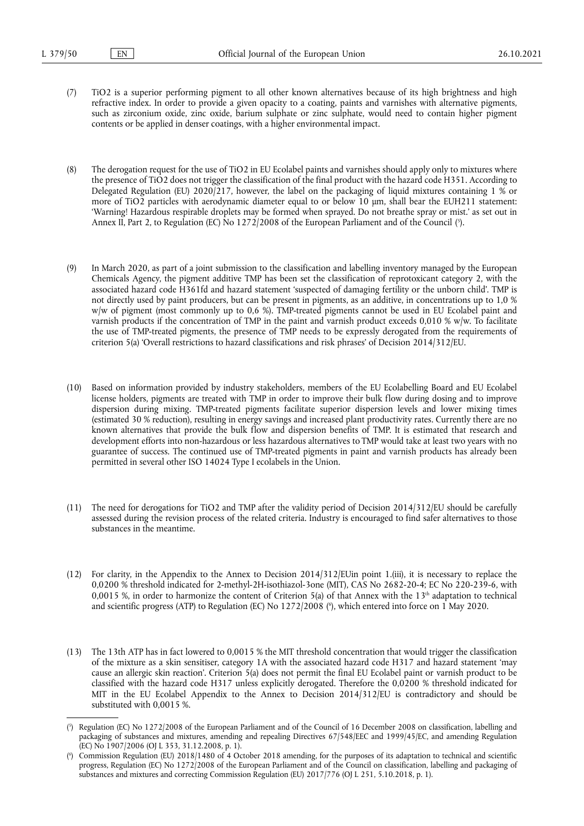(7) TiO2 is a superior performing pigment to all other known alternatives because of its high brightness and high refractive index. In order to provide a given opacity to a coating, paints and varnishes with alternative pigments, such as zirconium oxide, zinc oxide, barium sulphate or zinc sulphate, would need to contain higher pigment contents or be applied in denser coatings, with a higher environmental impact.

<span id="page-1-2"></span>(8) The derogation request for the use of TiO2 in EU Ecolabel paints and varnishes should apply only to mixtures where the presence of TiO2 does not trigger the classification of the final product with the hazard code H351. According to Delegated Regulation (EU) 2020/217, however, the label on the packaging of liquid mixtures containing 1 % or more of TiO2 particles with aerodynamic diameter equal to or below 10 µm, shall bear the EUH211 statement: 'Warning! Hazardous respirable droplets may be formed when sprayed. Do not breathe spray or mist.' as set out in Annex II, Part 2, to Regulation (EC) No 1272/2008 of the European Parliament and of the Council ( 5 [\).](#page-1-0)

- (9) In March 2020, as part of a joint submission to the classification and labelling inventory managed by the European Chemicals Agency, the pigment additive TMP has been set the classification of reprotoxicant category 2, with the associated hazard code H361fd and hazard statement 'suspected of damaging fertility or the unborn child'. TMP is not directly used by paint producers, but can be present in pigments, as an additive, in concentrations up to 1,0 % w/w of pigment (most commonly up to 0,6 %). TMP-treated pigments cannot be used in EU Ecolabel paint and varnish products if the concentration of TMP in the paint and varnish product exceeds 0,010 % w/w. To facilitate the use of TMP-treated pigments, the presence of TMP needs to be expressly derogated from the requirements of criterion 5(a) 'Overall restrictions to hazard classifications and risk phrases' of Decision 2014/312/EU.
- (10) Based on information provided by industry stakeholders, members of the EU Ecolabelling Board and EU Ecolabel license holders, pigments are treated with TMP in order to improve their bulk flow during dosing and to improve dispersion during mixing. TMP-treated pigments facilitate superior dispersion levels and lower mixing times (estimated 30 % reduction), resulting in energy savings and increased plant productivity rates. Currently there are no known alternatives that provide the bulk flow and dispersion benefits of TMP. It is estimated that research and development efforts into non-hazardous or less hazardous alternatives to TMP would take at least two years with no guarantee of success. The continued use of TMP-treated pigments in paint and varnish products has already been permitted in several other ISO 14024 Type I ecolabels in the Union.
- (11) The need for derogations for TiO2 and TMP after the validity period of Decision 2014/312/EU should be carefully assessed during the revision process of the related criteria. Industry is encouraged to find safer alternatives to those substances in the meantime.
- <span id="page-1-3"></span>(12) For clarity, in the Appendix to the Annex to Decision 2014/312/EUin point 1.(iii), it is necessary to replace the 0,0200 % threshold indicated for 2-methyl-2H-isothiazol-3one (MIT), CAS No 2682-20-4; EC No 220-239-6, with 0,0015 %, in order to harmonize the content of Criterion 5(a) of that Annex with the  $13<sup>th</sup>$  adaptation to technical and scientific progress (ATP) to Regulation (EC) No 1272/2008 [\(](#page-1-1) 6 ), which entered into force on 1 May 2020.
- (13) The 13th ATP has in fact lowered to 0,0015 % the MIT threshold concentration that would trigger the classification of the mixture as a skin sensitiser, category 1A with the associated hazard code H317 and hazard statement 'may cause an allergic skin reaction'. Criterion 5(a) does not permit the final EU Ecolabel paint or varnish product to be classified with the hazard code H317 unless explicitly derogated. Therefore the 0,0200 % threshold indicated for MIT in the EU Ecolabel Appendix to the Annex to Decision 2014/312/EU is contradictory and should be substituted with 0,0015 %.

<span id="page-1-0"></span>[<sup>\(</sup>](#page-1-2) 5 ) Regulation (EC) No 1272/2008 of the European Parliament and of the Council of 16 December 2008 on classification, labelling and packaging of substances and mixtures, amending and repealing Directives 67/548/EEC and 1999/45/EC, and amending Regulation (EC) No 1907/2006 (OJ L 353, 31.12.2008, p. 1).

<span id="page-1-1"></span>[<sup>\(</sup>](#page-1-3) 6 ) Commission Regulation (EU) 2018/1480 of 4 October 2018 amending, for the purposes of its adaptation to technical and scientific progress, Regulation (EC) No 1272/2008 of the European Parliament and of the Council on classification, labelling and packaging of substances and mixtures and correcting Commission Regulation (EU) 2017/776 (OJ L 251, 5.10.2018, p. 1).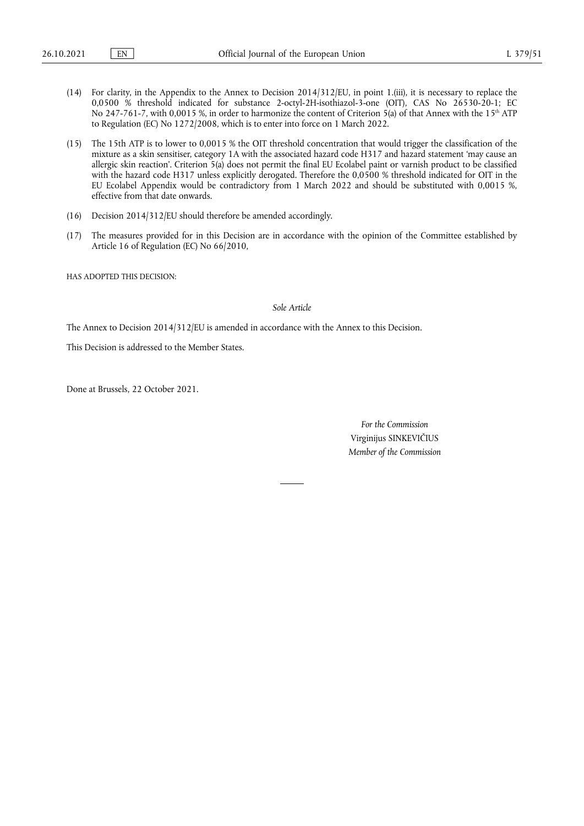- (14) For clarity, in the Appendix to the Annex to Decision 2014/312/EU, in point 1.(iii), it is necessary to replace the 0,0500 % threshold indicated for substance 2-octyl-2H-isothiazol-3-one (OIT), CAS No 26530-20-1; EC No 247-761-7, with 0,0015 %, in order to harmonize the content of Criterion 5(a) of that Annex with the 15<sup>th</sup> ATP to Regulation (EC) No 1272/2008, which is to enter into force on 1 March 2022.
- (15) The 15th ATP is to lower to 0,0015 % the OIT threshold concentration that would trigger the classification of the mixture as a skin sensitiser, category 1A with the associated hazard code H317 and hazard statement 'may cause an allergic skin reaction'. Criterion 5(a) does not permit the final EU Ecolabel paint or varnish product to be classified with the hazard code H317 unless explicitly derogated. Therefore the 0,0500 % threshold indicated for OIT in the EU Ecolabel Appendix would be contradictory from 1 March 2022 and should be substituted with 0,0015 %, effective from that date onwards.
- (16) Decision 2014/312/EU should therefore be amended accordingly.
- (17) The measures provided for in this Decision are in accordance with the opinion of the Committee established by Article 16 of Regulation (EC) No 66/2010,

HAS ADOPTED THIS DECISION:

### *Sole Article*

The Annex to Decision 2014/312/EU is amended in accordance with the Annex to this Decision.

This Decision is addressed to the Member States.

Done at Brussels, 22 October 2021.

*For the Commission* Virginijus SINKEVIČIUS *Member of the Commission*